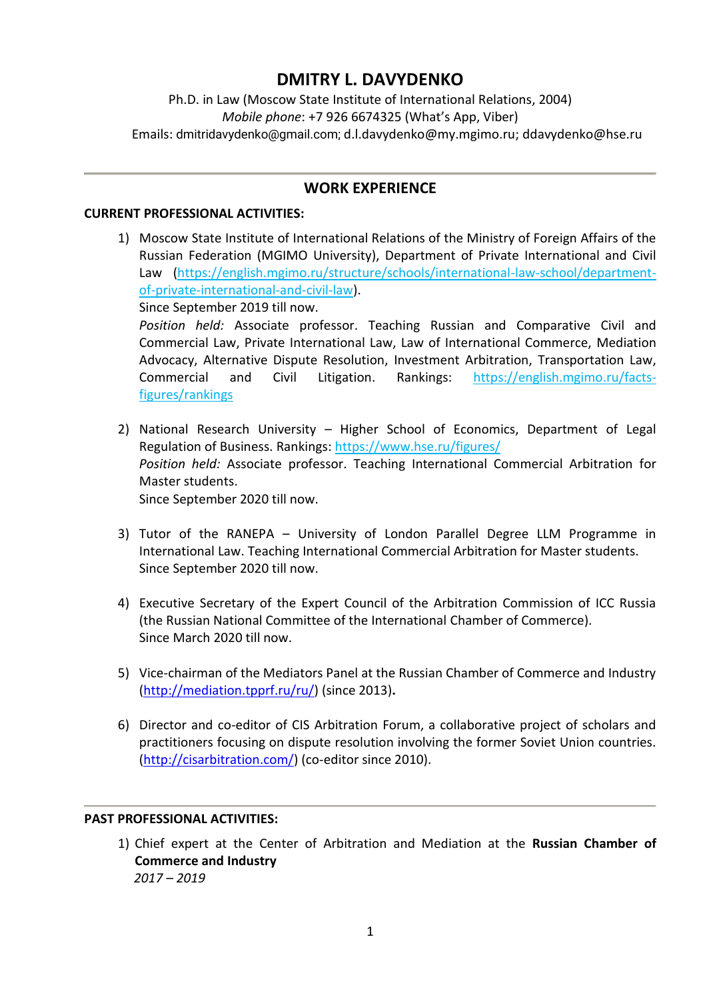# **DMITRY L. DAVYDENKO**

Ph.D. in Law (Moscow State Institute of International Relations, 2004) *Mobile phone*: +7 926 6674325 (What's App, Viber) Emails: dmitridavydenko@gmail.com; d.l.davydenko@my.mgimo.ru; ddavydenko@hse.ru

# **WORK EXPERIENCE**

#### **CURRENT PROFESSIONAL ACTIVITIES:**

1) Moscow State Institute of International Relations of the Ministry of Foreign Affairs of the Russian Federation (MGIMO University), Department of Private International and Civil Law (https://english.mgimo.ru/structure/schools/international-law-school/departmentof-private-international-and-civil-law).

Since September 2019 till now.

*Position held:* Associate professor. Teaching Russian and Comparative Civil and Commercial Law, Private International Law, Law of International Commerce, Mediation Advocacy, Alternative Dispute Resolution, Investment Arbitration, Transportation Law, Commercial and Civil Litigation. Rankings: https://english.mgimo.ru/factsfigures/rankings

- 2) National Research University Higher School of Economics, Department of Legal Regulation of Business. Rankings: https://www.hse.ru/figures/ *Position held:* Associate professor. Teaching International Commercial Arbitration for Master students. Since September 2020 till now.
- 3) Tutor of the RANEPA [University of London Parallel Degree LLM Programme in](https://www.ranepa.ru/eng/center-london/)  [International Law.](https://www.ranepa.ru/eng/center-london/) Teaching International Commercial Arbitration for Master students. Since September 2020 till now.
- 4) Executive Secretary of the Expert Council of the Arbitration Commission of ICC Russia (the Russian National Committee of the International Chamber of Commerce). Since March 2020 till now.
- 5) Vice-chairman of the Mediators Panel at the Russian Chamber of Commerce and Industry [\(http://mediation.tpprf.ru/ru/\)](http://mediation.tpprf.ru/ru/) (since 2013)**.**
- 6) Director and co-editor of CIS Arbitration Forum, a collaborative project of scholars and practitioners focusing on dispute resolution involving the former Soviet Union countries. [\(http://cisarbitration.com/\)](http://cisarbitration.com/) (co-editor since 2010).

### **PAST PROFESSIONAL ACTIVITIES:**

1) Chief expert at the Center of Arbitration and Mediation at the **Russian Chamber of Commerce and Industry**  *2017 – 2019*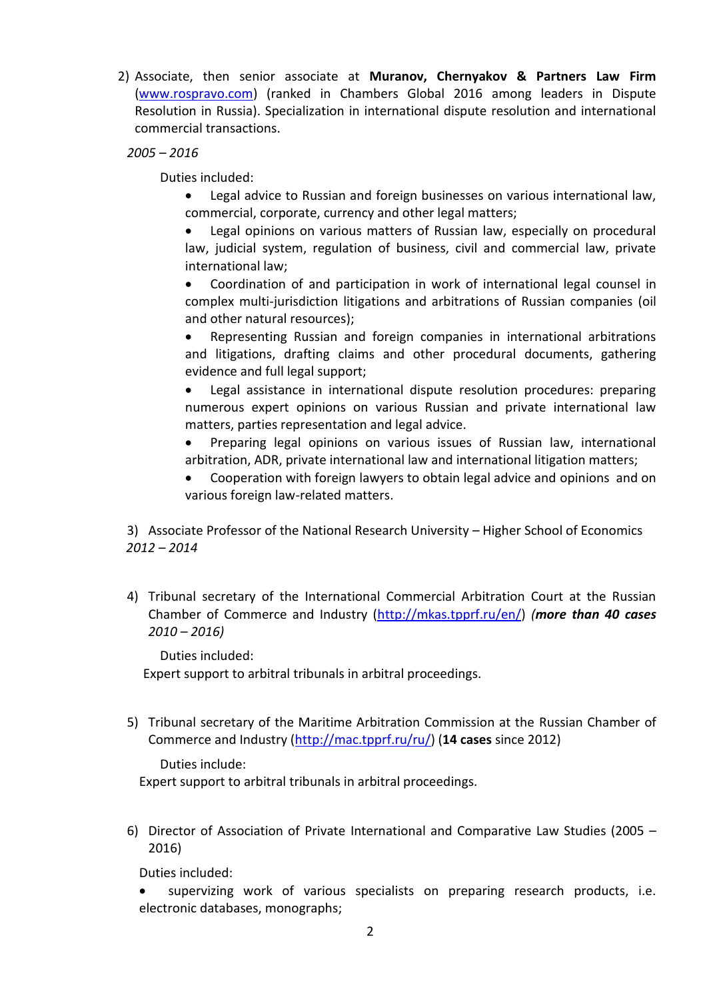2) Associate, then senior associate at **Muranov, Chernyakov & Partners Law Firm** [\(www.rospravo.com\)](http://www.rospravo.com/) (ranked in Chambers Global 2016 among leaders in Dispute Resolution in Russia). Specialization in international dispute resolution and international commercial transactions.

*2005 – 2016* 

Duties included:

• Legal advice to Russian and foreign businesses on various international law, commercial, corporate, currency and other legal matters;

Legal opinions on various matters of Russian law, especially on procedural law, judicial system, regulation of business, civil and commercial law, private international law;

• Coordination of and participation in work of international legal counsel in complex multi-jurisdiction litigations and arbitrations of Russian companies (oil and other natural resources);

• Representing Russian and foreign companies in international arbitrations and litigations, drafting claims and other procedural documents, gathering evidence and full legal support;

• Legal assistance in international dispute resolution procedures: preparing numerous expert opinions on various Russian and private international law matters, parties representation and legal advice.

• Preparing legal opinions on various issues of Russian law, international arbitration, ADR, private international law and international litigation matters;

• Cooperation with foreign lawyers to obtain legal advice and opinions and on various foreign law-related matters.

3) Associate Professor of the National Research University – Higher School of Economics *2012 – 2014*

4) Tribunal secretary of the International Commercial Arbitration Court at the Russian Chamber of Commerce and Industry [\(http://mkas.tpprf.ru/en/\)](http://mkas.tpprf.ru/en/) *(more than 40 cases 2010 – 2016)*

Duties included:

Expert support to arbitral tribunals in arbitral proceedings.

5) Tribunal secretary of the Maritime Arbitration Commission at the Russian Chamber of Commerce and Industry [\(http://mac.tpprf.ru/ru/\)](http://mac.tpprf.ru/ru/) (**14 cases** since 2012)

Duties include:

Expert support to arbitral tribunals in arbitral proceedings.

6) Director of Association of Private International and Comparative Law Studies (2005 – 2016)

Duties included:

supervizing work of various specialists on preparing research products, i.e. electronic databases, monographs;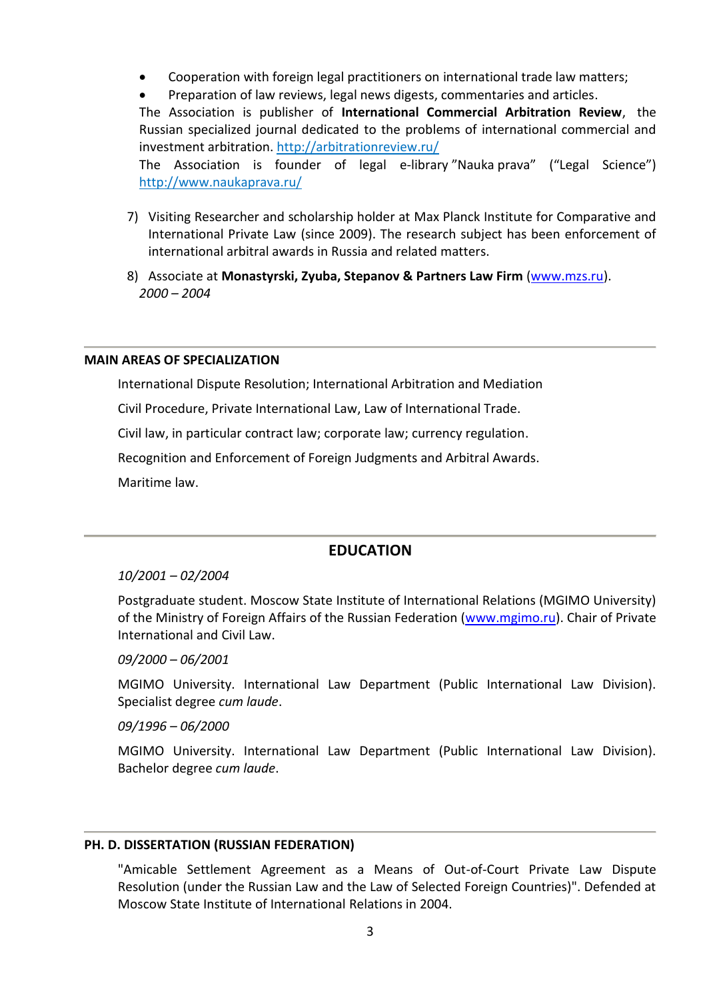- Cooperation with foreign legal practitioners on international trade law matters;
- Preparation of law reviews, legal news digests, commentaries and articles.

The Association is publisher of **International Соmmercial Arbitration Review**, the Russian specialized journal dedicated to the problems of international commercial and investment arbitration. http://arbitrationreview.ru/

The Association is founder of legal e-library "Nauka prava" ("Legal Science") http://www.naukaprava.ru/

- 7) Visiting Researcher and scholarship holder at [Max Planck Institute for Comparative and](http://www.mpipriv.de/ww/en/pub/home.cfm)  [International Private Law](http://www.mpipriv.de/ww/en/pub/home.cfm) (since 2009). The research subject has been enforcement of international arbitral awards in Russia and related matters.
- 8) Associate at **Monastyrski, Zyuba, Stepanov & Partners Law Firm** [\(www.mzs.ru\)](http://www.mzs.ru/). *2000 – 2004*

#### **MAIN AREAS OF SPECIALIZATION**

International Dispute Resolution; International Arbitration and Mediation

Civil Procedure, Private International Law, Law of International Trade.

Civil law, in particular contract law; corporate law; currency regulation.

Recognition and Enforcement of Foreign Judgments and Arbitral Awards.

Maritime law.

### **EDUCATION**

#### *10/2001 – 02/2004*

Postgraduate student. Moscow State Institute of International Relations (MGIMO University) of the Ministry of Foreign Affairs of the Russian Federation [\(www.mgimo.ru\)](http://www.mgimo.ru/). Chair of Private International and Civil Law.

*09/2000 – 06/2001*

MGIMO University. International Law Department (Public International Law Division). Specialist degree *cum laude*.

*09/1996 – 06/2000*

MGIMO University. International Law Department (Public International Law Division). Bachelor degree *cum laude*.

#### **PH. D. DISSERTATION (RUSSIAN FEDERATION)**

"Amicable Settlement Agreement as a Means of Out-of-Court Private Law Dispute Resolution (under the Russian Law and the Law of Selected Foreign Countries)". Defended at Moscow State Institute of International Relations in 2004.